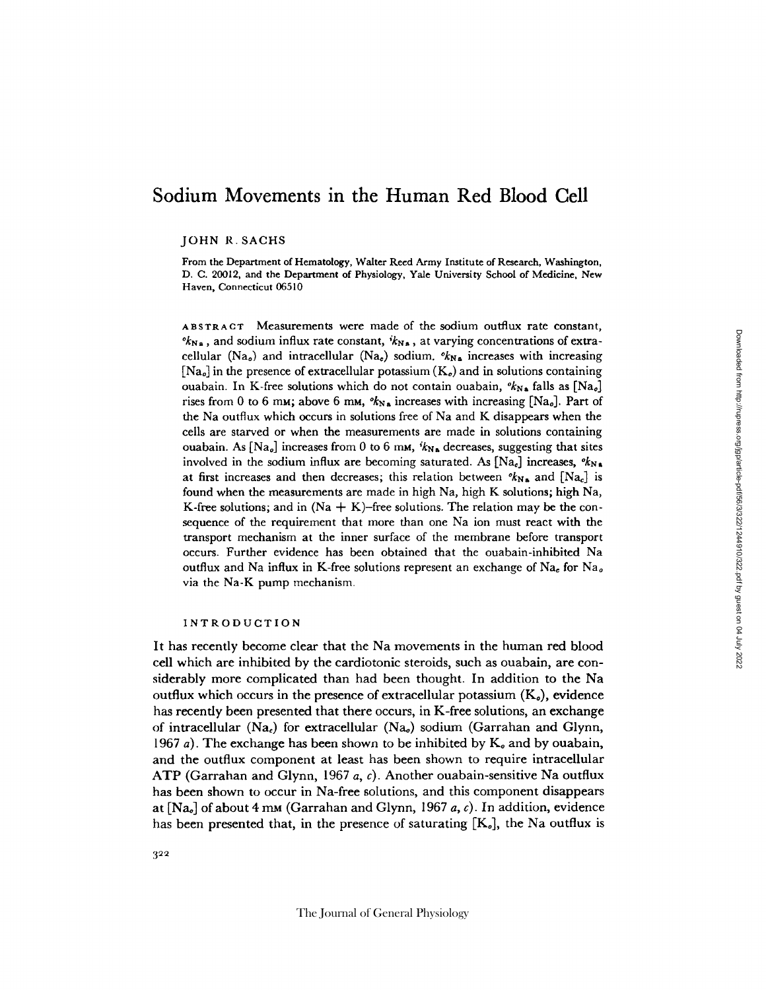# **Sodium Movements** in the Human Red Blood Cell

JOHN R. SACHS

From the Department of Hematology, Walter Reed Army Institute of Research, Washington, D. C. 20012, and the Department of Physiology, Yale University School of Medicine, New Haven, Connecticut 06510

**ABSTRACT** Measurements were made of the sodium outflux rate constant,  $\mathcal{O}_{N,a}$ , and sodium influx rate constant,  $\mathcal{V}_{N,a}$ , at varying concentrations of extracellular (Na<sub>o</sub>) and intracellular (Na<sub>c</sub>) sodium.  $\kappa_{N_A}$  increases with increasing  $[Na<sub>o</sub>]$  in the presence of extracellular potassium  $(K<sub>o</sub>)$  and in solutions containing ouabain. In K-free solutions which do not contain ouabain,  $\mathscr{K}_{N\bullet}$  falls as [Na<sub>o</sub>] rises from 0 to 6 mm; above 6 mm,  $k_{N_A}$  increases with increasing [Na<sub>o</sub>]. Part of the Na outflux which occurs in solutions free of Na and K disappears when the cells are starved or when the measurements are made in solutions containing ouabain. As  $[Na<sub>o</sub>]$  increases from 0 to 6 mm,  $i_{Na}$  decreases, suggesting that sites involved in the sodium influx are becoming saturated. As  $[Na_e]$  increases,  $\ell_{N,a}$ at first increases and then decreases; this relation between  $\mathscr{R}_{N_A}$  and  $[N_{a_c}]$  is found when the measurements are made in high Na, high K solutions; high Na, K-free solutions; and in  $(Na + K)$ -free solutions. The relation may be the consequence of the requirement that more than one Na ion must react with the transport mechanism at the inner surface of the membrane before transport occurs. Further evidence has been obtained that the ouabain-inhibited Na outflux and Na influx in K-free solutions represent an exchange of Na<sub>e</sub> for Na<sub>e</sub> via the Na-K pump mechanism.

#### INTRODUCTION

It has recently become clear that the Na movements in the human red blood cell which are inhibited by the cardiotonic steroids, such as ouabain, are considerably more complicated than had been thought. In addition to the Na outflux which occurs in the presence of extracellular potassium  $(K_o)$ , evidence has recently been presented that there occurs, in K-free solutions, an exchange of intracellular (Na<sub>c</sub>) for extracellular (Na<sub>c</sub>) sodium (Garrahan and Glynn, 1967 a). The exchange has been shown to be inhibited by  $K_0$  and by ouabain, and the outflux component at least has been shown to require intracellular ATP (Garrahan and Glynn, 1967 *a, c).* Another ouabain-sensitive Na outflux has been shown to occur in Na-free solutions, and this component disappears at [Nao] of about 4 mM (Garrahan and Glynn, 1967 a, *c).* In addition, evidence has been presented that, in the presence of saturating  $[K_o]$ , the Na outflux is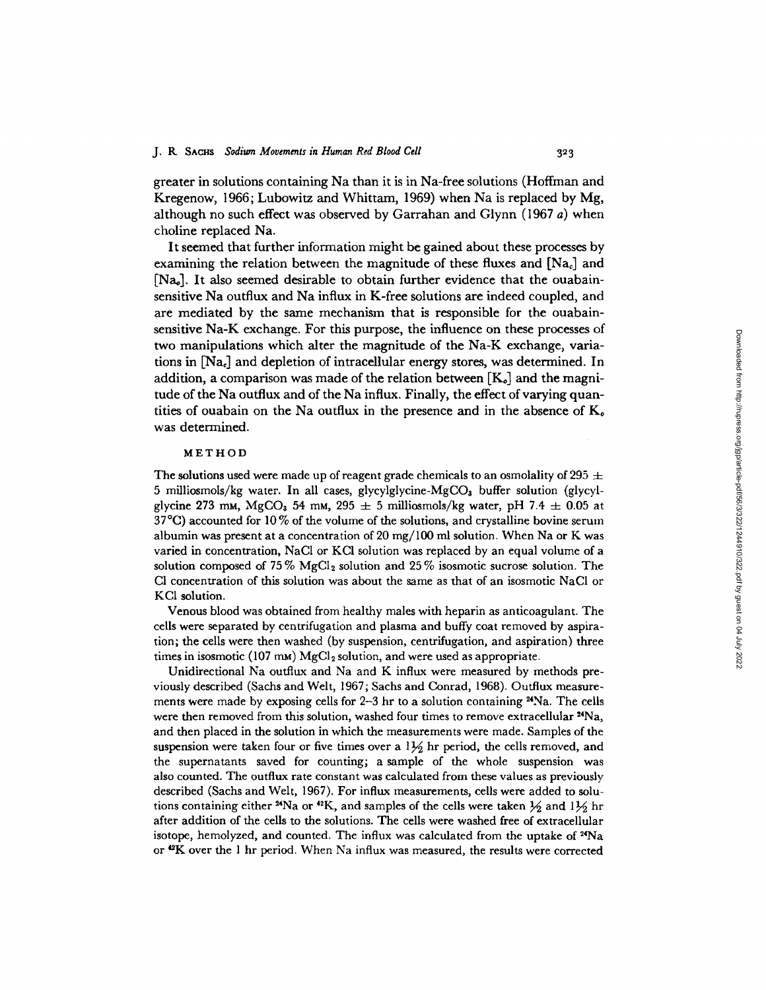greater in solutions containing Na than it is in Na-free solutions (Hoffman and Kregenow, 1966; Lubowitz and Whittam, 1969) when Na is replaced by Mg, although no such effect was observed by Garrahan and Glynn (1967 a) when choline replaced Na.

It seemed that further information might be gained about these processes by examining the relation between the magnitude of these fluxes and  $[Na<sub>c</sub>]$  and  $[Na<sub>o</sub>]$ . It also seemed desirable to obtain further evidence that the ouabainsensitive Na outflux and Na influx in K-free solutions are indeed coupled, and are mediated by the same mechanism that is responsible for the ouabainsensitive Na-K exchange. For this purpose, the influence on these processes of two manipulations which alter the magnitude of the Na-K exchange, variations in [Na.] and depletion of intracellular energy stores, was determined. In addition, a comparison was made of the relation between  $[K_o]$  and the magnitude of the Na outflux and of the Na influx. Finally, the effect of varying quantities of ouabain on the Na outflux in the presence and in the absence of  $K<sub>o</sub>$ was determined.

### **METHOD**

The solutions used were made up of reagent grade chemicals to an osmolality of 295  $\pm$ 5 milliosmols/kg water. In all cases, glycylglycine-MgCOa buffer solution (glycylglycine 273 mm, MgCO<sub>3</sub> 54 mm, 295  $\pm$  5 milliosmols/kg water, pH 7.4  $\pm$  0.05 at  $37^{\circ}$ C) accounted for 10 % of the volume of the solutions, and crystalline bovine serum albumin was present at a concentration of 20 mg/100 ml solution. When Na or K was varied in concentration, NaCl or KCI solution was replaced by an equal volume of a solution composed of 75%  ${ {\rm MgCl}_2}$  solution and 25% isosmotic sucrose solution. The Cl concentration of this solution was about the same as that of an isosmotic NaCI or KCI solution.

Venous blood was obtained from healthy males with heparin as anticoagulant. The cells were separated by centrifugation and plasma and buffy coat removed by aspiration; the cells were then washed (by suspension, centrifugation, and aspiration) three times in isosmotic (107 mm)  ${\rm MgCl_2}$  solution, and were used as appropriate

Unidirectional Na outflux and Na and K influx were measured by methods previously described (Sachs and Welt, 1967; Sachs and Conrad, 1968). Outflux measurements were made by exposing cells for 2-3 hr to a solution containing <sup>24</sup>Na. The cells were then removed from this solution, washed four times to remove extracellular <sup>24</sup>Na, and then placed in the solution in which the measurements were made. Samples of the suspension were taken four or five times over a  $1\frac{1}{2}$  hr period, the cells removed, and the supernatants saved for counting; a sample of the whole suspension was also counted. The outflux rate constant was calculated from these values as previously described (Sachs and Welt, 1967). For influx measurements, cells were added to solutions containing either <sup>24</sup>Na or <sup>42</sup>K, and samples of the cells were taken  $\frac{1}{2}$  and  $1\frac{1}{2}$  hr after addition of the cells to the solutions. The cells were washed free of extracellular isotope, hemolyzed, and counted. The influx was calculated from the uptake of <sup>24</sup>Na or **42K** over the I hr period. When Na influx was measured, the results were corrected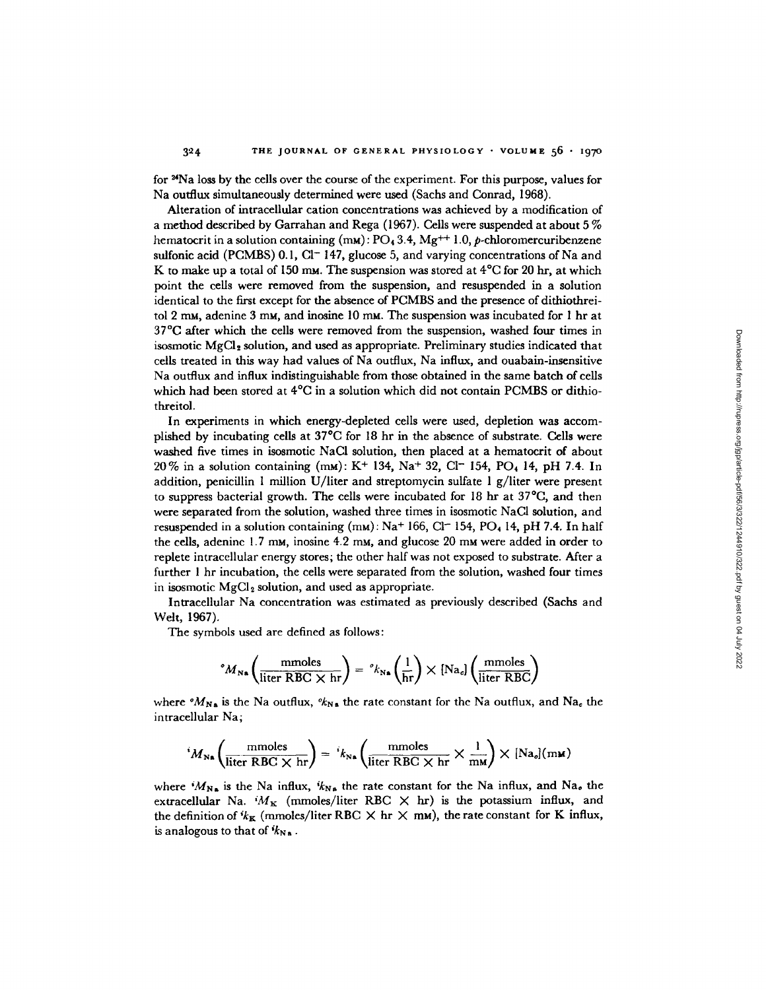for **2Na** loss by the cells over the course of the experiment. For this purpose, values for Na outflux simultaneously determined were used (Sachs and Conrad, 1968).

Alteration of intracellular cation concentrations was achieved by a modification of a method described by Garrahan and Rega (1967). Cells were suspended at about 5  $\%$ hematocrit in a solution containing (m<mark>M):  $PO_4$  3.4, Mg<sup>++</sup> 1.0,  $\rho$ -chloromercuribenzen</mark> sulfonic acid (PCMBS) 0.1, Cl<sup>-</sup> 147, glucose 5, and varying concentrations of Na and K to make up a total of 150 mm. The suspension was stored at  $4^{\circ}$ C for 20 hr, at which point the cells were removed from the suspension, and resuspended in a solution identical to the first except for the absence of PCMBS and the presence of dithiothreitol 2 mM, adenine 3 mM, and inosine 10 mM. The suspension was incubated for 1 hr at 37°C after which the cells were removed from the suspension, washed four times in isosmotic MgCI2 solution, and used as appropriate. Preliminary studies indicated that cells treated in this way had values of Na outflux, Na influx, and ouabain-insensitive Na outflux and influx indistinguishable from those obtained in the same batch of cells which had been stored at  $4^{\circ}\mathrm{C}$  in a solution which did not contain PCMBS or dithiothreitol.

In experiments in which energy-depleted cells were used, depletion was accomplished by incubating cells at  $37^{\circ}$ C for 18 hr in the absence of substrate. Cells were washed five times in isosmotic NaCI solution, then placed at a hematocrit of about 20% in a solution containing (mm): K<sup>+</sup> 134, Na<sup>+</sup> 32, Cl<sup>-</sup> 154, PO<sub>4</sub> 14, pH 7.4. In addition, penicillin I million U/liter and streptomycin sulfate I g/liter were present to suppress bacterial growth. The cells were incubated for  $18 \text{ hr}$  at  $37^{\circ}\text{C}$ , and then were separated from the solution, washed three times in isosmotic NaCI solution, and resuspended in a solution containing  $(mu)$ : Na<sup>+</sup> 166, Cl<sup>-</sup> 154, PO<sub>4</sub> 14, pH 7.4. In half the cells, adenine 1.7 mm, inosine 4.2 mm, and glucose 20 mm were added in order to replete intracellular energy stores; the other half was not exposed to substrate. After a further I hr incubation, the cells were separated from the solution, washed four times in isosmotic  $MgCl<sub>2</sub>$  solution, and used as appropriate.

Intracellular Na concentration was estimated as previously described (Sachs and Welt, 1967).

The symbols used are defined as follows:

$$
{}^{\circ}M_{\mathbf{N}\mathbf{a}}\left(\frac{\text{mmoles}}{\text{liter RBC}\times\text{hr}}\right) = {}^{\circ}k_{\mathbf{N}\mathbf{a}}\left(\frac{1}{\text{hr}}\right)\times\left[\text{Na}_c\right]\left(\frac{\text{mmoles}}{\text{liter RBC}}\right)
$$

where  $^{\circ}M_{N_{\rm A}}$  is the Na outflux,  $^{\circ}k_{N_{\rm A}}$  the rate constant for the Na outflux, and Na<sub>c</sub> the intracellular Na;

$$
{}^{i}M_{\text{Na}}\left(\frac{\text{mmoles}}{\text{liter} \text{ RBC} \times \text{hr}}\right) = {}^{i}k_{\text{Na}}\left(\frac{\text{mmoles}}{\text{liter} \text{ RBC} \times \text{hr}} \times \frac{1}{\text{mm}}\right) \times [\text{Na}_{o}](\text{mm})
$$

where  $M_{N_a}$  is the Na influx,  $k_{N_a}$  the rate constant for the Na influx, and Na<sub>o</sub> the extracellular Na.  $^{i}M_{K}$  (mmoles/liter RBC  $\times$  hr) is the potassium influx, and the definition of  $i_{K_K}$  (mmoles/liter RBC  $\times$  hr  $\times$  mm), the rate constant for K influx, is analogous to that of  $k_{\text{Na}}$ .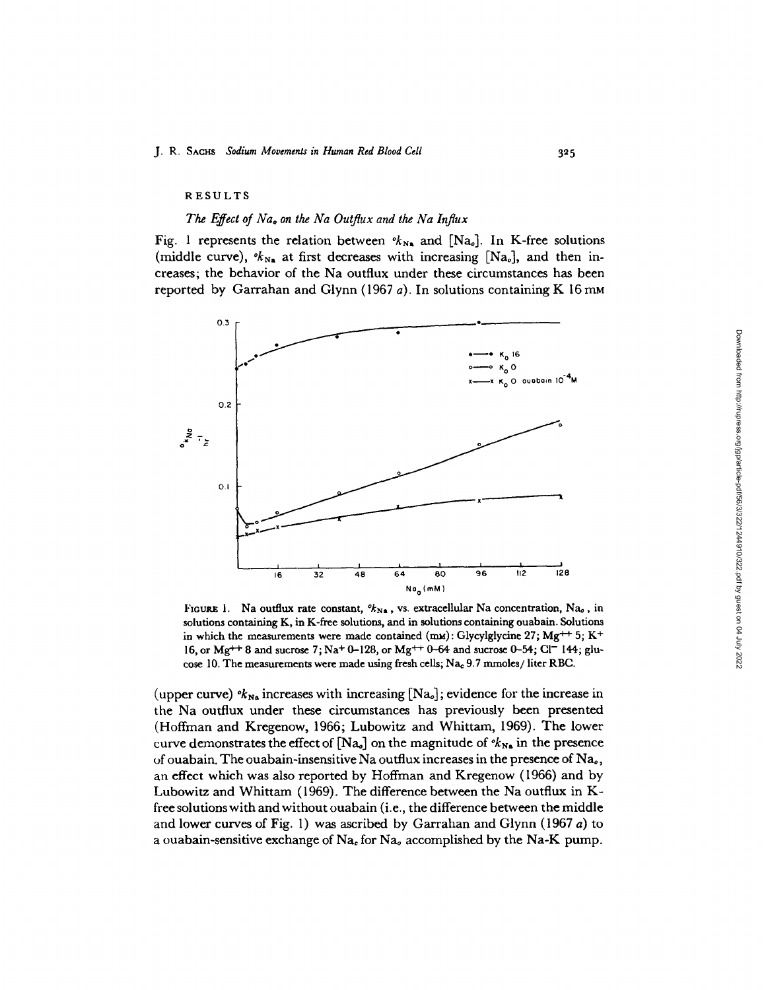#### RESULTS

#### *The Effect of Nao on the Na Outflux and the Na Influx*

Fig. 1 represents the relation between  $\mathcal{K}_{N_A}$  and [Na<sub>o</sub>]. In K-free solutions (middle curve),  $\mathscr{K}_{N_{\mathbf{a}}}$  at first decreases with increasing [Na<sub>o</sub>], and then increases; the behavior of the Na outflux under these circumstances has been reported by Garrahan and Glynn (1967 *a).* In solutions containing K 16 mM



FIGURE 1. Na outflux rate constant,  $k_{N_a}$ , vs. extracellular Na concentration, Na<sub>0</sub>, in solutions containing K, in K-free solutions, and in solutions containing ouabain. Solutions in which the measurements were made contained **(mm):** Glycylglycine 27; **Mg+ <sup>+</sup>** 5; K+ 16, or Mg<sup>++</sup> 8 and sucrose 7; Na<sup>+</sup> 0-128, or Mg<sup>++</sup> 0-64 and sucrose 0-54; Cl<sup>-</sup> 144; glucose 10. The measurements were made using fresh cells;  $Na<sub>e</sub>$  9.7 mmoles/liter RBC.

(upper curve)  $\mathcal{C}_{N_{\mathbf{A}}}$  increases with increasing [Na<sub>o</sub>]; evidence for the increase in the Na outflux under these circumstances has previously been presented (Hoffman and Kregenow, 1966; Lubowitz and Whittam, 1969). The lower curve demonstrates the effect of  $[Na<sub>o</sub>]$  on the magnitude of  $\alpha_{Ns}$  in the presence of ouabain. The ouabain-insensitive Na outflux increases in the presence of  $Na<sub>o</sub>$ , an effect which was also reported by Hoffman and Kregenow (1966) and by Lubowitz and Whittam (1969). The difference between the Na outflux in Kfree solutions with and without ouabain (i.e., the difference between the middle and lower curves of Fig. 1) was ascribed by Garrahan and Glynn (1967 a) to a ouabain-sensitive exchange of  $Na<sub>e</sub>$  for  $Na<sub>o</sub>$  accomplished by the Na-K pump.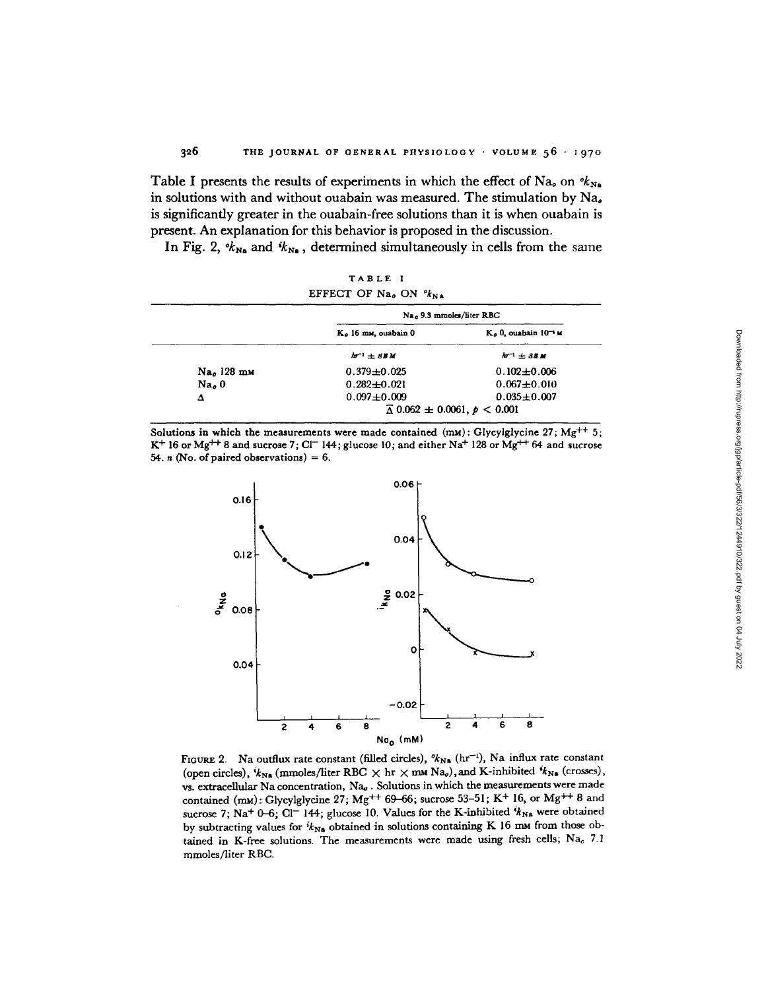Table I presents the results of experiments in which the effect of Na<sub>o</sub> on  $\mathscr{R}_{N_A}$ in solutions with and without ouabain was measured. The stimulation by  $Na<sub>e</sub>$ is significantly greater in the ouabain-free solutions than it is when ouabain is present. An explanation for this behavior is proposed in the discussion.

In Fig. 2,  $\mathcal{K}_{N_A}$  and  $\mathcal{K}_{N_A}$ , determined simultaneously in cells from the same

|                                    | TABLE I                                        |                                                        |
|------------------------------------|------------------------------------------------|--------------------------------------------------------|
|                                    | EFFECT OF Na <sub>0</sub> ON $\frac{6}{N_{N}}$ |                                                        |
|                                    |                                                | Na <sub>c</sub> 9.3 mmoles/liter RBC                   |
|                                    | K. 16 mm, ouabain 0                            | $Ko$ 0, ouabain $10^{-4}$ M                            |
|                                    | $h^{-1}$ + $BBM$                               | $h^{-1}$ + SEM                                         |
| Na <sub>o</sub> 128 m <sub>M</sub> | $0.379 \pm 0.025$                              | $0.102 + 0.006$                                        |
| Na <sub>o</sub>                    | $0.282 \pm 0.021$                              | $0.067 \pm 0.010$                                      |
| Δ                                  | $0.097 + 0.009$                                | $0.035 \pm 0.007$                                      |
|                                    |                                                | $\overline{\Delta}$ 0.062 $\pm$ 0.0061, $\rho$ < 0.001 |

Solutions in which the measurements were made contained (mM): Glycylglycine 27; Mg<sup>++</sup> 5;  $K^+$  16 or Mg<sup>++</sup> 8 and sucrose 7; Cl<sup>-</sup> 144; glucose 10; and either Na<sup>+</sup> 128 or Mg<sup>++</sup> 64 and sucrose 54. *n* (No. of paired observations) =  $6$ .



FIGURE 2. Na outflux rate constant (filled circles),  $\mathscr{U}_{N\mathbf{a}}$  (hr<sup>-1</sup>), Na influx rate constant (open circles),  $i_{N_A}$  (mmoles/liter RBC  $\times$  hr  $\times$  mm Na<sub>o</sub>), and K-inhibited  $i_{N_B}$  (crosses), vs. extracellular Na concentration, Na<sub>0</sub>. Solutions in which the measurements were made contained (mu): Glycylglycine 27; Mg<sup>++</sup> 69-66; sucrose 53-51; K<sup>+</sup> 16, or Mg<sup>++</sup> 8 and sucrose 7; Na<sup>+</sup> 0-6; Cl<sup>-</sup> 144; glucose 10. Values for the K-inhibited  $i_{N_A}$  were obtained by subtracting values for  $i_{Na}$  obtained in solutions containing K 16 mm from those obtained in K-free solutions. The measurements were made using fresh cells;  $Na<sub>c</sub>$  7.1 mmoles/liter RBC.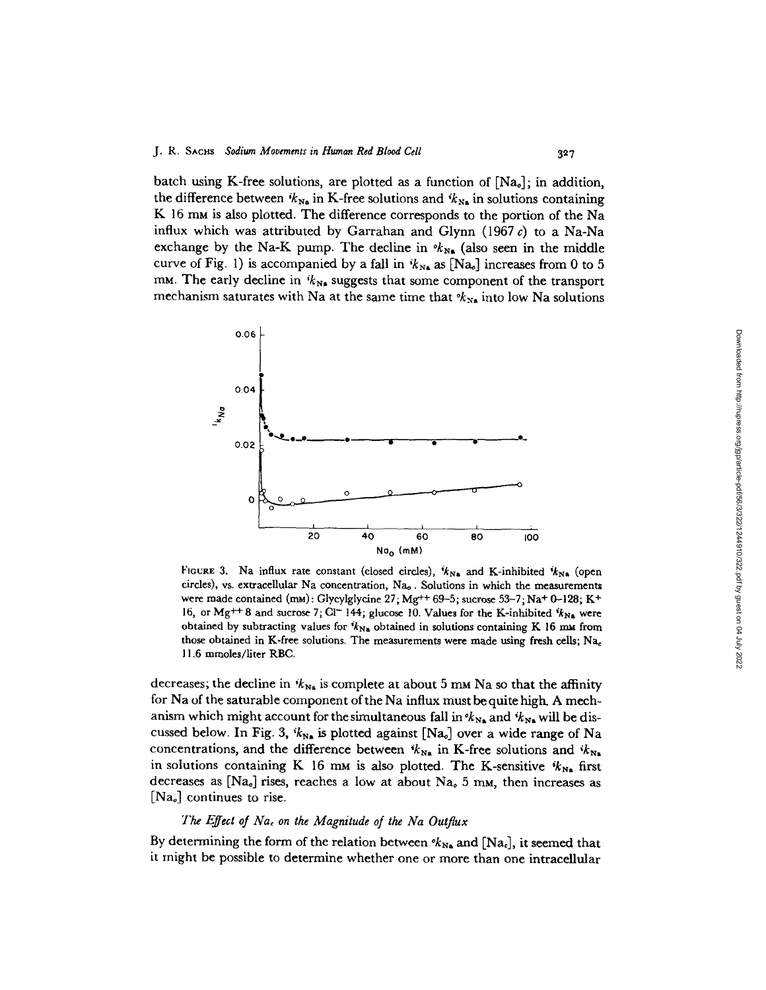batch using K-free solutions, are plotted as a function of  $[Na<sub>o</sub>]$ ; in addition, the difference between  $i_{N_{\text{N}_n}}$  in K-free solutions and  $i_{N_{\text{N}_n}}$  in solutions containing K 16 mm is also plotted. The difference corresponds to the portion of the Na influx which was attributed by Garrahan and Glynn (1967 *c)* to a Na-Na exchange by the Na-K pump. The decline in  $\mathscr{K}_{N_{\bullet}}$  (also seen in the middle curve of Fig. 1) is accompanied by a fall in  $k_{N_A}$  as [Na<sub>0</sub>] increases from 0 to 5  $mM$ . The early decline in  $i k_{Ns}$  suggests that some component of the transport mechanism saturates with Na at the same time that  $k_{N_a}$  into low Na solutions

327



FIGURE 3. Na influx rate constant (closed circles),  $k_{N_A}$  and K-inhibited  $k_{N_A}$  (open circles), vs. extracellular Na concentration, Nao. Solutions in which the measurements were made contained  $(mM)$ : Glycylglycine 27; Mg<sup>++</sup> 69-5; sucrose 53-7; Na<sup>+</sup> 0-128; K<sup>+</sup> 16, or Mg<sup>++</sup> 8 and sucrose 7; Cl<sup>-</sup> 144; glucose 10. Values for the K-inhibited  $k_{N_A}$  were obtained by subtracting values for  $k_{N_a}$  obtained in solutions containing K 16 mm from those obtained in K-free solutions. The measurements were made using fresh cells;  $Na<sub>c</sub>$ 11.6 mmoles/liter RBC.

decreases; the decline in  $k_{\text{Na}}$  is complete at about 5 mm Na so that the affinity for Na of the saturable component of the Na influx must be quite high. A mechanism which might account for the simultaneous fall in  $\mathscr{R}_{N_{\bullet}}$  and  $\mathscr{R}_{N_{\bullet}}$  will be discussed below. In Fig. 3,  $k_{N_a}$  is plotted against [Na<sub>o</sub>] over a wide range of Na concentrations, and the difference between  $k_{N_a}$  in K-free solutions and  $k_{N_a}$ in solutions containing K 16 mm is also plotted. The K-sensitive  $k_{N_a}$  first decreases as [Na<sub>o</sub>] rises, reaches a low at about Na<sub>o</sub> 5 mm, then increases as  $[Na<sub>o</sub>]$  continues to rise.

## *The Effect of Nac on the Magnitude of the Na Outflux*

By determining the form of the relation between  $\kappa_{N_a}$  and [Na.], it seemed that it might be possible to determine whether one or more than one intracellular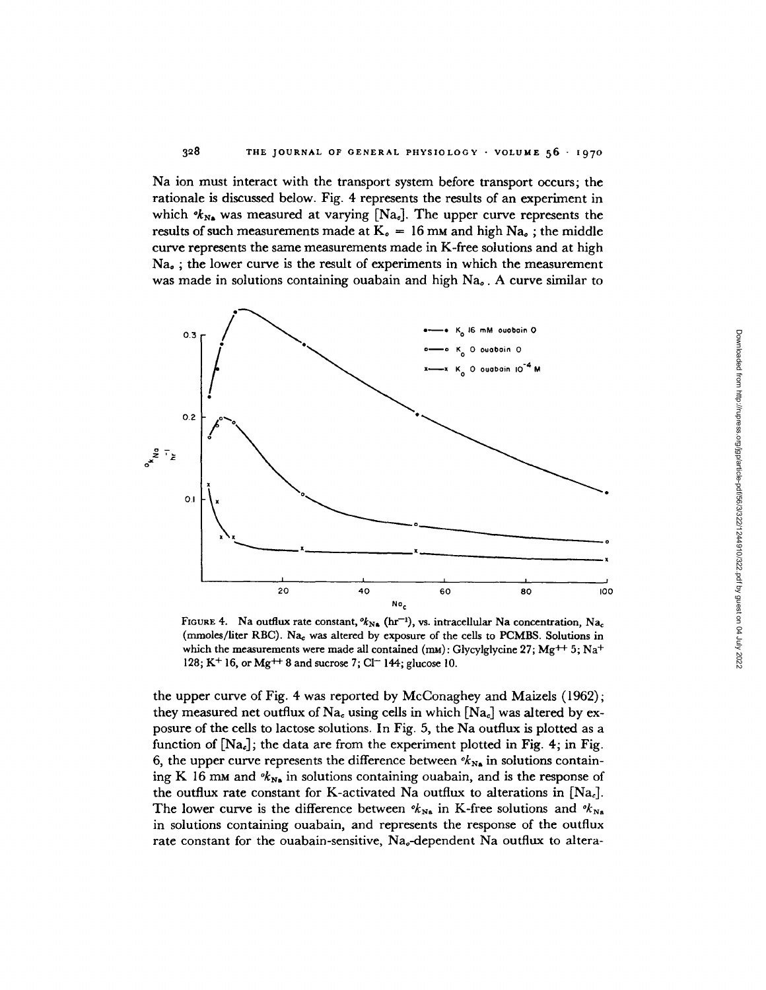Na ion must interact with the transport system before transport occurs; the rationale is discussed below. Fig. 4 represents the results of an experiment in which  $k_{\text{Na}}$  was measured at varying  $[\text{Na}_{\text{e}}]$ . The upper curve represents the results of such measurements made at  $K_0 = 16$  mm and high Na<sub>o</sub>; the middle curve represents the same measurements made in K-free solutions and at high  $Na<sub>e</sub>$ ; the lower curve is the result of experiments in which the measurement was made in solutions containing ouabain and high Na. A curve similar to



FIGURE 4. Na outflux rate constant,  ${}^o k_{N\bullet}$  (hr<sup>-1</sup>), vs. intracellular Na concentration, Na<sub>c</sub> (mmoles/liter RBC). Na<sub>c</sub> was altered by exposure of the cells to PCMBS. Solutions in which the measurements were made all contained (mM): Glycylglycine 27; Mg<sup>++</sup> 5; Na<sup>+</sup> 128; K<sup>+</sup> 16, or Mg<sup>++</sup> 8 and sucrose 7; Cl<sup>--</sup> 144; glucose 10.

the upper curve of Fig. 4 was reported by McConaghey and Maizels (1962); they measured net outflux of Na<sub>c</sub> using cells in which  $[Na_c]$  was altered by exposure of the cells to lactose solutions. In Fig. 5, the Na outflux is plotted as a function of  $[Na_c]$ ; the data are from the experiment plotted in Fig. 4; in Fig. 6, the upper curve represents the difference between  $\mathcal{U}_{N_A}$  in solutions containing K 16 mm and  $v_{N_s}$  in solutions containing ouabain, and is the response of the outflux rate constant for K-activated Na outflux to alterations in  $[Na_c]$ . The lower curve is the difference between  $\mathscr{K}_{N_{\rm A}}$  in K-free solutions and  $\mathscr{K}_{N_{\rm A}}$ in solutions containing ouabain, and represents the response of the outflux rate constant for the ouabain-sensitive, Na-dependent Na outflux to altera-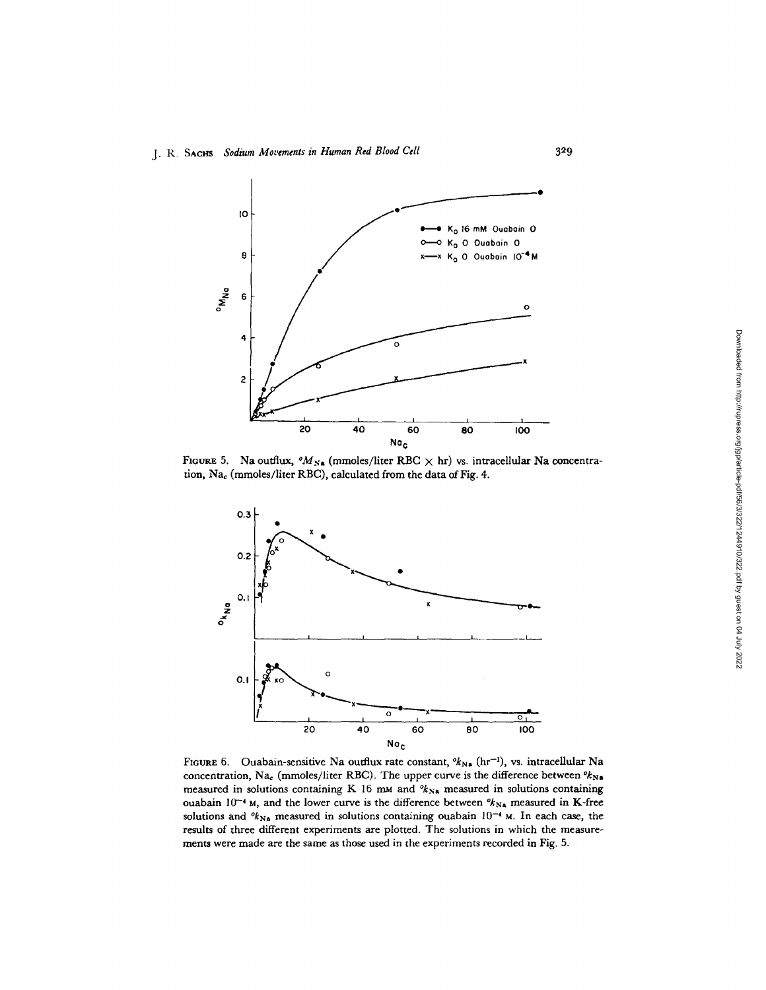

FIGURE 5. Na outflux,  ${}^oM_{N\bullet}$  (mmoles/liter RBC  $\times$  hr) vs. intracellular Na concentration, Na<sub>c</sub> (mmoles/liter RBC), calculated from the data of Fig. 4.



FIGURE 6. Ouabain-sensitive Na outflux rate constant,  $\mathcal{U}_{N,s}$  (hr<sup>-1</sup>), vs. intracellular Na concentration, Na<sub>c</sub> (mmoles/liter RBC). The upper curve is the difference between  $\mathbf{e_{N,a}}$ measured in solutions containing K 16 mm and  $\mathscr{R}_{N_{\rm B}}$  measured in solutions containing ouabain  $10^{-4}$  M, and the lower curve is the difference between  $\mathscr{R}_{NA}$  measured in K-free solutions and  $\mathscr{K}_{N\alpha}$  measured in solutions containing ouabain  $10^{-4}$  M. In each case, the results of three different experiments are plotted. The solutions in which the measurements were made are the same as those used in the experiments recorded in Fig. 5.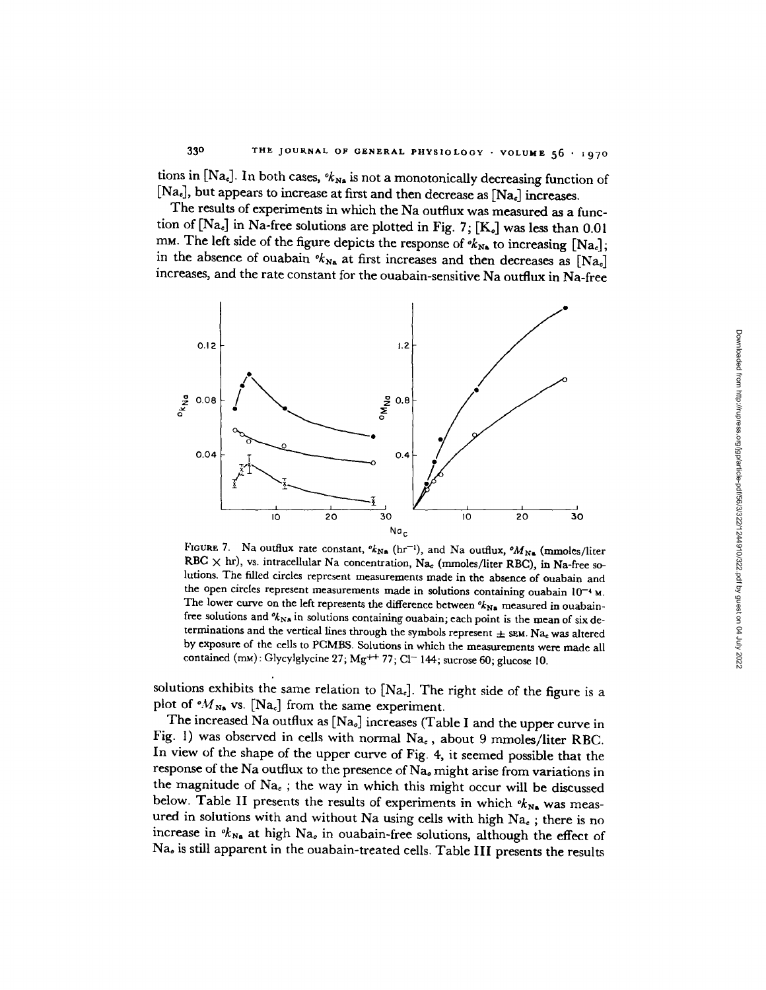tions in [Na<sub>c</sub>]. In both cases,  $\partial k_{N_A}$  is not a monotonically decreasing function of  $[Na_{\epsilon}]$ , but appears to increase at first and then decrease as  $[Na_{\epsilon}]$  increases.

The results of experiments in which the Na outflux was measured **as** a function of  $[Na_e]$  in Na-free solutions are plotted in Fig. 7;  $[K_o]$  was less than 0.01 mm. The left side of the figure depicts the response of  $\partial k_{N_A}$  to increasing [Na<sub>c</sub>]; in the absence of ouabain  $\partial k_{N_A}$  at first increases and then decreases as  $[Na_c]$ increases, and the rate constant for the ouabain-sensitive Na outflux in Na-free



**FIGURE 7.** Na outflux rate constant,  ${}^o k_{\text{Na}}$  (hr<sup>-1</sup>), and Na outflux,  ${}^o M_{\text{Na}}$  (mmoles/liter RBC) x hr), vs. intracellular Na concentration, Na<sub>c</sub> (mmoles/liter RBC), in Na-free solutions. The filled circles represent measurements made in the absence of ouabain and the open circles represent measurements made in solutions containing ouabain  $10^{-4}$  M. The lower curve on the left represents the difference between  $\mathcal{U}_{N\mathbf{a}}$  measured in ouabainfree solutions and  $\mathcal{U}_{\text{Na}}$  in solutions containing ouabain; each point is the mean of six determinations and the vertical lines through the symbols represent  $\pm$  sem. Na<sub>c</sub> was altered by exposure of the cells to PCMBS. Solutions in which the measurements were made all contained  $(mM)$ : Glycylglycine 27; Mg<sup>++</sup> 77; Cl<sup>-</sup> 144; sucrose 60; glucose 10.

solutions exhibits the same relation to  $[Na<sub>c</sub>]$ . The right side of the figure is a plot of  ${}^{\circ}M_{N_{\rm A}}$  vs. [Na<sub>c</sub>] from the same experiment.

The increased Na outflux as [Nao] increases (Table I and the upper curve in Fig. 1) was observed in cells with normal  $Na<sub>c</sub>$ , about 9 mmoles/liter RBC. In view of the shape of the upper curve of Fig. 4, it seemed possible that the response of the Na outflux to the presence of Na, might arise from variations in the magnitude of  $Na<sub>e</sub>$ ; the way in which this might occur will be discussed below. Table II presents the results of experiments in which  $v_{N_A}$  was measured in solutions with and without Na using cells with high  $Na<sub>e</sub>$ ; there is no increase in  $k_{N_a}$  at high Na<sub>o</sub> in ouabain-free solutions, although the effect of Nao is still apparent in the ouabain-treated cells. Table **III** presents the results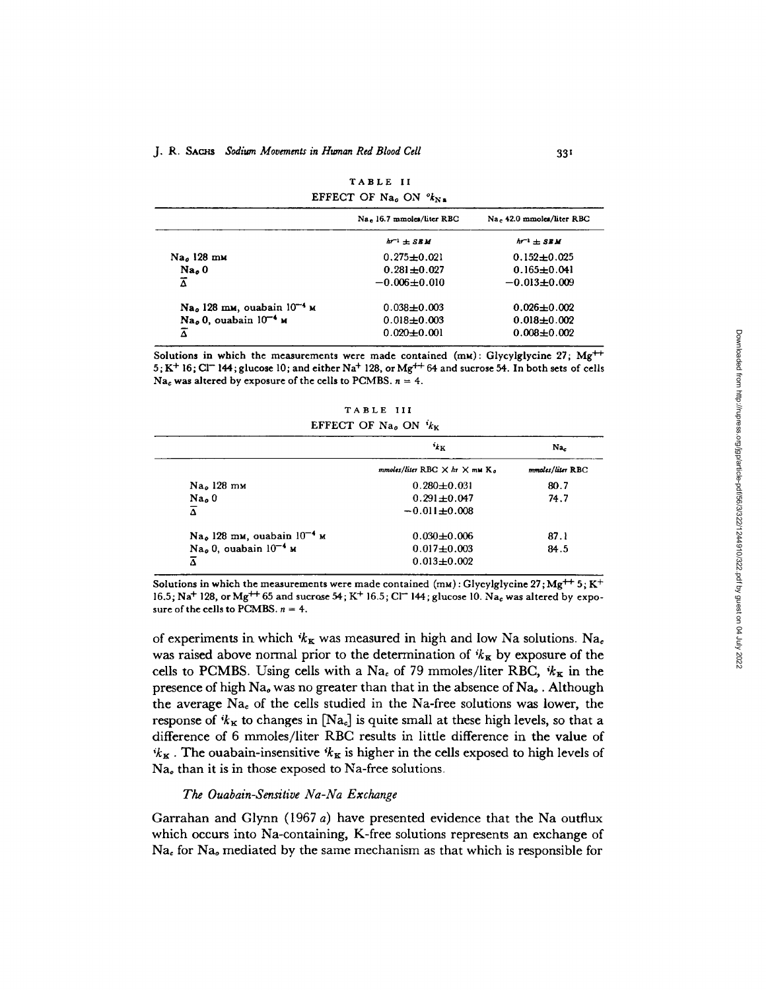|                                                    | EFFECT OF Na <sub>0</sub> ON $\frac{v_{k}}{v_{k}}$ |                           |
|----------------------------------------------------|----------------------------------------------------|---------------------------|
|                                                    | Na. 16.7 mmoles/liter RBC                          | Na, 42.0 mmoles/liter RBC |
|                                                    | $hr^{-1}$ + SBM                                    | $h^{-1}$ $\pm$ SEM        |
| Na., 128 mm                                        | $0.275 \pm 0.021$                                  | $0.152 \pm 0.025$         |
| Na <sub>o</sub> 0                                  | $0.281 + 0.027$                                    | $0.165 \pm 0.041$         |
| $\overline{\Delta}$                                | $-0.006 \pm 0.010$                                 | $-0.013 \pm 0.009$        |
| Na <sub>o</sub> 128 mm, ouabain 10 <sup>-4</sup> M | $0.038 + 0.003$                                    | $0.026 \pm 0.002$         |
| $\text{Na}_0$ , ouabain $10^{-4}$ м                | $0.018 + 0.003$                                    | $0.018 + 0.002$           |
| Ā                                                  | $0.020 \pm 0.001$                                  | $0.008 + 0.002$           |

TABLE II

Solutions in which the measurements were made contained  $(mu)$ : Glycylglycine 27; Mg<sup>++</sup> 5; K<sup>+</sup> 16; Cl<sup>-</sup> 144; glucose 10; and either Na<sup>+</sup> 128, or Mg<sup>++</sup> 64 and sucrose 54. In both sets of cells Na<sub>c</sub> was altered by exposure of the cells to PCMBS.  $n = 4$ .

**TABLE III** EFFECT OF Na<sub>o</sub> ON  $i_{k_K}$ 

|                                                    | $i_{k}$                                        | Na.              |
|----------------------------------------------------|------------------------------------------------|------------------|
|                                                    | mmoles/liter RBC $\times$ hr $\times$ mM $K_a$ | mmoles/liter RBC |
| Na <sub>o</sub> 128 mm                             | $0.280 \pm 0.031$                              | 80.7             |
| $Nao$ 0                                            | $0.291 \pm 0.047$                              | 74.7             |
| $\overline{\Delta}$                                | $-0.011 \pm 0.008$                             |                  |
| $\mathrm{Na}_0$ 128 mm, ouabain 10 <sup>-4</sup> м | $0.030 \pm 0.006$                              | 87.1             |
| $Nao$ 0, ouabain $10-4$ м                          | $0.017 + 0.003$                                | 84.5             |
| $\overline{\Delta}$                                | $0.013 \pm 0.002$                              |                  |

Solutions in which the measurements were made contained (mM): Glycylglycine 27;  $Mg^{++}$  5; K<sup>+</sup> 16.5; Na<sup>+</sup> 128, or Mg<sup>++</sup> 65 and sucrose 54; K<sup>+</sup> 16.5; Cl<sup>--</sup> 144; glucose 10. Na<sub>c</sub> was altered by exposure of the cells to PCMBS.  $n = 4$ .

of experiments in which  $k_K$  was measured in high and low Na solutions. Na<sub>c</sub> was raised above normal prior to the determination of  $k_{\mathbf{K}}$  by exposure of the cells to PCMBS. Using cells with a Na<sub>c</sub> of 79 mmoles/liter RBC,  $k_{\mathbf{K}}$  in the presence of high Na, was no greater than that in the absence of Na, . Although the average  $Na<sub>c</sub>$  of the cells studied in the Na-free solutions was lower, the response of  $k_{\kappa}$  to changes in  $[Na_{\epsilon}]$  is quite small at these high levels, so that a difference of 6 mmoles/liter RBC results in little difference in the value of  $k_{\mathbf{K}}$ . The ouabain-insensitive  $k_{\mathbf{K}}$  is higher in the cells exposed to high levels of Na<sub>o</sub> than it is in those exposed to Na-free solutions.

#### *The Ouabain-Sensitive Na-Na Exchange*

Garrahan and Glynn (1967 *a)* have presented evidence that the Na outflux which occurs into Na-containing, K-free solutions represents an exchange of  $Na<sub>c</sub>$  for  $Na<sub>a</sub>$  mediated by the same mechanism as that which is responsible for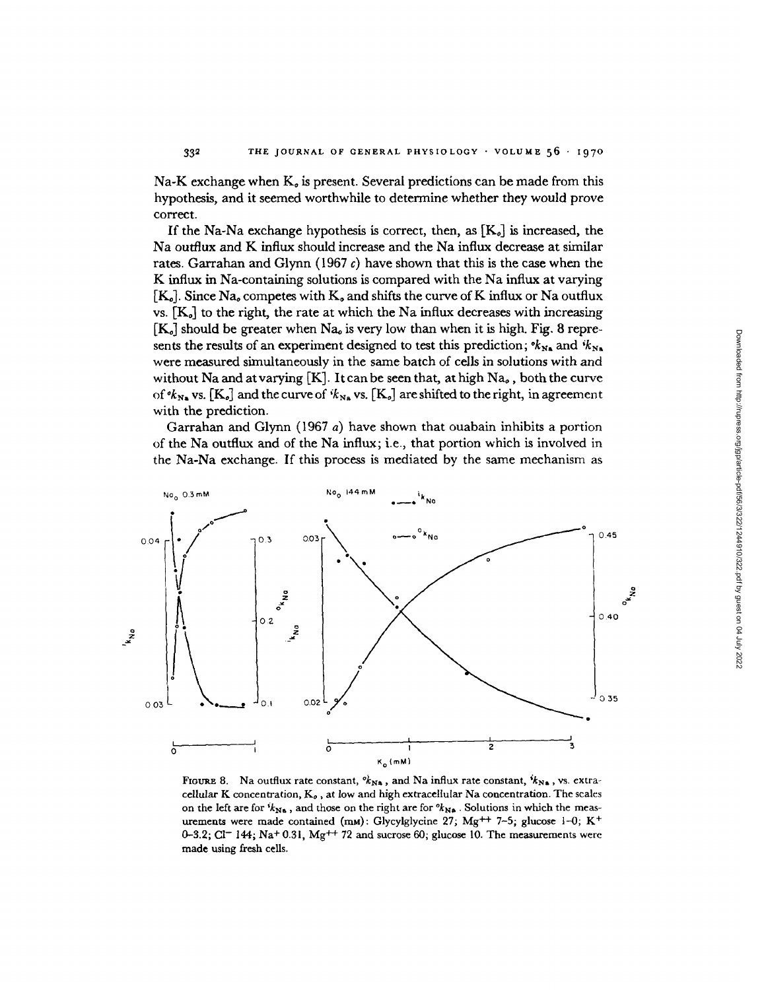Na-K exchange when  $K_{\sigma}$  is present. Several predictions can be made from this hypothesis, and it seemed worthwhile to determine whether they would prove correct.

If the Na-Na exchange hypothesis is correct, then, as  $[K_{\circ}]$  is increased, the Na outflux and K influx should increase and the Na influx decrease at similar rates. Garrahan and Glynn (1967 *c)* have shown that this is the case when the K influx in Na-containing solutions is compared with the Na influx at varying  $[K_o]$ . Since Na<sub>o</sub> competes with  $K_o$  and shifts the curve of K influx or Na outflux vs.  $[K_o]$  to the right, the rate at which the Na influx decreases with increasing  $[K_{o}]$  should be greater when  $Na_{o}$  is very low than when it is high. Fig. 8 represents the results of an experiment designed to test this prediction;  $k_{N_A}$  and  $k_{N_A}$ were measured simultaneously in the same batch of cells in solutions with and without Na and at varying  $[K]$ . It can be seen that, at high Na $_o$ , both the curve of  $\mathscr{C}_{N_A}$  vs.  $[K_o]$  and the curve of  $\mathscr{C}_{N_A}$  vs.  $[K_o]$  are shifted to the right, in agreement with the prediction.

Garrahan and Glynn (1967 a) have shown that ouabain inhibits a portion of the Na outflux and of the Na influx; i.e., that portion which is involved in the Na-Na exchange. If this process is mediated by the same mechanism as



FIGURE 8. Na outflux rate constant,  ${}^o\! k_{N\!A}$ , and Na influx rate constant,  ${}^i\! k_{N\!A}$ , vs. extracellular K concentration,  $K_o$  , at low and high extracellular Na concentration. The scales on the left are for  $k_{N_a}$ , and those on the right are for  $k_{N_a}$ . Solutions in which the measurements were made contained (mM): Glycylglycine 27; Mg<sup>++</sup> 7-5; glucose 1-0; K<sup>+</sup>  $0-3.2$ ; Cl<sup>-</sup> 144; Na<sup>+</sup> 0.31, Mg<sup>++</sup> 72 and sucrose 60; glucose 10. The measurements were made using fresh cells.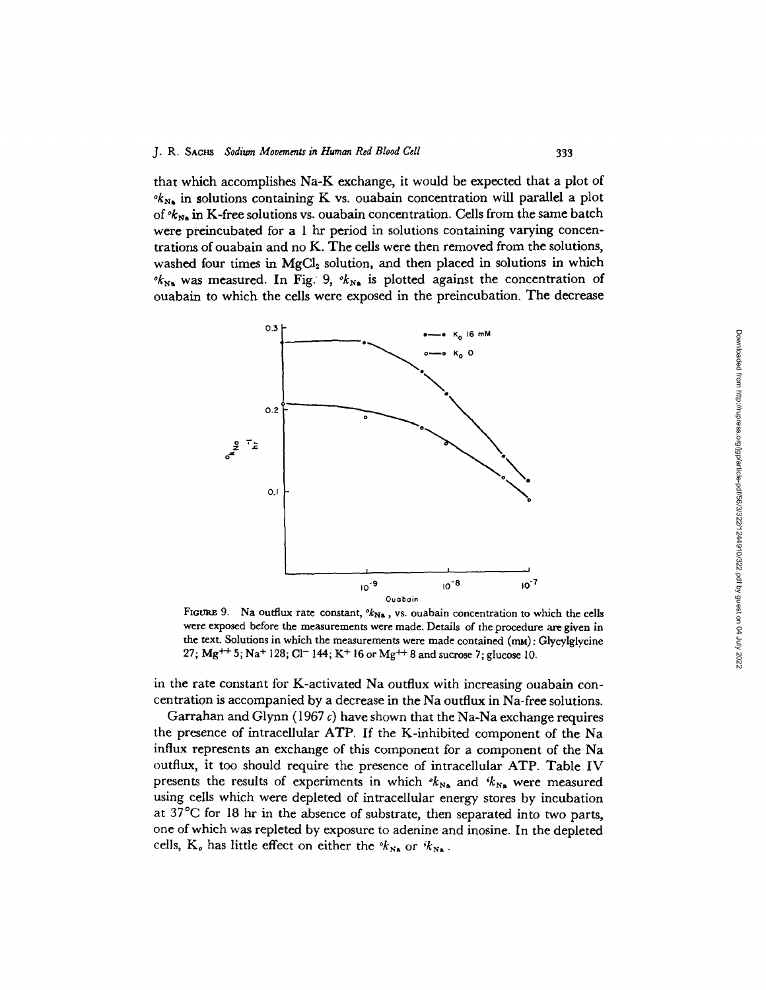that which accomplishes Na-K exchange, it would be expected that a plot of  $\partial k_{N_A}$  in solutions containing K vs. ouabain concentration will parallel a plot of  $k_{N_a}$  in K-free solutions vs. ouabain concentration. Cells from the same batch were preincubated for a 1 hr period in solutions containing varying concentrations of ouabain and no K. The cells were then removed from the solutions, washed four times in  $MgCl<sub>2</sub>$  solution, and then placed in solutions in which  $\partial k_{N_A}$  was measured. In Fig. 9,  $\partial k_{N_A}$  is plotted against the concentration of ouabain to which the cells were exposed in the preincubation. The decrease



FIGURE 9. Na outflux rate constant,  $\alpha_{N_A}$ , vs. ouabain concentration to which the cells were exposed before the measurements were made. Details of the procedure are given in the text. Solutions in which the measurements were made contained  $(m_M)$ : Glycylglycine 27;  $Mg^{++}$  5; Na<sup>+</sup> 128; Cl<sup>-</sup> 144; K<sup>+</sup> 16 or Mg<sup>++</sup> 8 and sucrose 7; glucose 10.

in the rate constant for K-activated Na outflux with increasing ouabain concentration is accompanied by a decrease in the Na outflux in Na-free solutions.

Garrahan and Glynn (1967 c) have shown that the Na-Na exchange requires the presence of intracellular ATP. If the K-inhibited component of the Na influx represents an exchange of this component for a component of the Na outflux, it too should require the presence of intracellular ATP. Table IV presents the results of experiments in which  $k_{N_a}$  and  $k_{N_a}$  were measured using cells which were depleted of intracellular energy stores by incubation at 37°C for 18 hr in the absence of substrate, then separated into two parts, one of which was repleted by exposure to adenine and inosine. In the depleted cells, K<sub>o</sub> has little effect on either the  $k_{N_A}$  or  $k_{N_A}$ .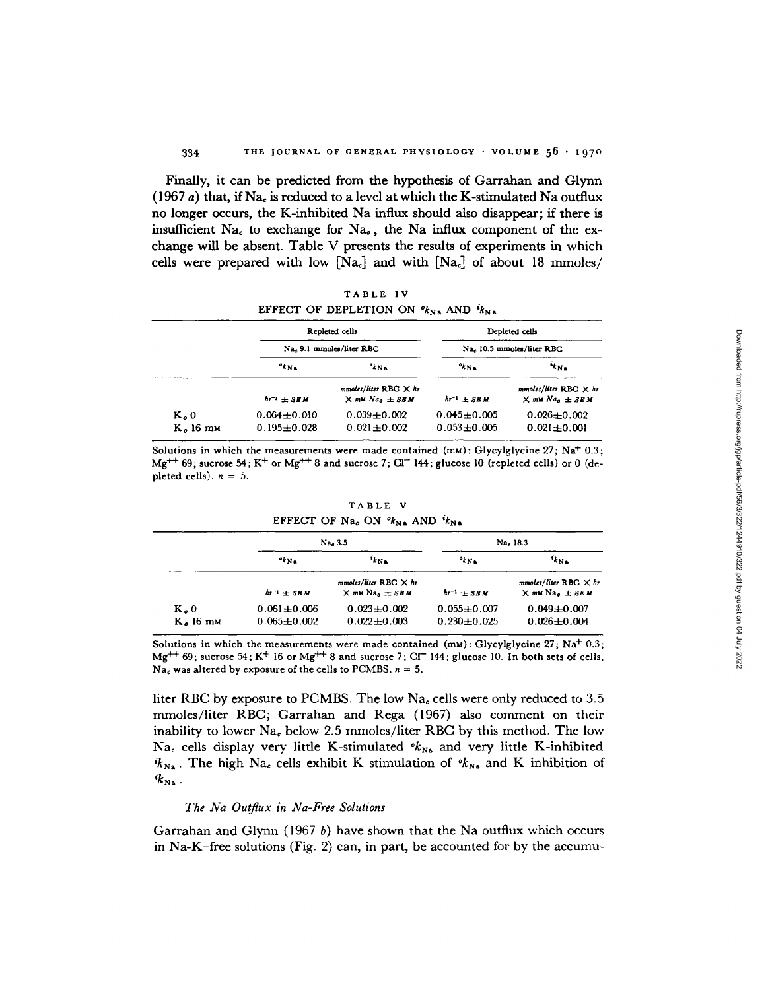**Finally, it can be predicted from** the hypothesis of Garrahan **and Glynn** (1967 **a)** that, **if Na, is reduced to a level at which** the K-stimulated **Na outflux** no longer occurs, the K-inhibited **Na influx should also disappear; if there is insufficient Na,** to exchange for Nao, the **Na influx component** of the ex**change will be** absent. **Table** V presents the results of experiments in which cells were prepared with low  $[Na_c]$  and with  $[Na_c]$  of about 18 mmoles/

**TABLE IV** EFFECT OF DEPLETION ON  $\partial k_{N,a}$  and  $\partial k_{N,a}$ 

|            |                     | Repleted cells                                               |                     | Depleted cells                                            |
|------------|---------------------|--------------------------------------------------------------|---------------------|-----------------------------------------------------------|
|            |                     | Na, 9.1 mmoles/liter RBC                                     |                     | Na <sub>c</sub> 10.5 mmoles/liter RBC                     |
|            | $k_{\rm Na}$        | $k_{N_A}$                                                    | $k_{Nn}$            | $k_{N_A}$                                                 |
|            | $hr^{-1}$ $\pm$ SEM | $mmoles/liter$ RBC $\times h$ r<br>$\times$ mM $Nao \pm$ SBM | $hr^{-1}$ $\pm$ SBM | $mmoles/liter RBC \times hr$<br>$\times$ mu $Naa \pm$ SBM |
| $Ka$ 0     | $0.064 \pm 0.010$   | $0.039 + 0.002$                                              | $0.045 \pm 0.005$   | $0.026 \pm 0.002$                                         |
| $K0$ 16 mm | $0.195 + 0.028$     | $0.021 \pm 0.002$                                            | $0.053 + 0.005$     | $0.021 \pm 0.001$                                         |

Solutions in which the measurements were made **contained** (mM): **Glycylglycine** 27; **Na+** 0.3; Mg<sup>++</sup> 69; sucrose 54; K<sup>+</sup> or Mg<sup>++</sup> 8 and sucrose 7; Cl<sup>-</sup> 144; glucose 10 (repleted cells) or 0 (depleted cells).  $n = 5$ .

|                      |                                    | Na, 3.5                                                               |                                      | Na. 18.3                                                              |
|----------------------|------------------------------------|-----------------------------------------------------------------------|--------------------------------------|-----------------------------------------------------------------------|
|                      | $k_{Nn}$                           | $k_{\rm N}$                                                           | $k_{N}$                              | $k_{N}$                                                               |
|                      | $hr^{-1}$ + SEM                    | $mmoles/liter RBC \times hr$<br>$\times$ mM Na <sub>0</sub> $\pm$ SBM | $hr^{-1}$ $\pm$ SEM                  | $mmoles/liter RBC \times hr$<br>$\times$ mM Na <sub>o</sub> $\pm$ SEM |
| $Ka$ 0<br>$Ko$ 16 mm | $0.061 + 0.006$<br>$0.065 + 0.002$ | $0.023 \pm 0.002$<br>$0.022 + 0.003$                                  | $0.055 \pm 0.007$<br>$0.230 + 0.025$ | $0.049 \pm 0.007$<br>$0.026 \pm 0.004$                                |

**TABLE V EFFECT OF Na<sub>c</sub>** ON  $^o k_{Na}$  AND  $^i k_{Na}$ 

Solutions in which the measurements were made contained (mu): Glycylglycine 27; **Na+** 0.3; Mg<sup>++</sup> 69; sucrose 54; K<sup>+</sup> 16 or Mg<sup>++</sup> 8 and sucrose 7; Cl<sup>-</sup> 144; glucose 10. In both sets of cells,  $Na<sub>c</sub>$  was altered by exposure of the cells to PCMBS.  $n = 5$ .

liter RBC by exposure to PCMBS. The low  $Na<sub>e</sub>$  cells were only reduced to 3.5 mmoles/liter RBC; Garrahan and Rega (1967) also comment on their inability to lower **Na,** below 2.5 mmoles/liter RBC by this method. The low Na<sub>c</sub> cells display very little K-stimulated  $k_{N_A}$  and very little K-inhibited  $i k_{N_A}$ . The high Na<sub>c</sub> cells exhibit K stimulation of  $i k_{N_A}$  and K inhibition of  $k_{\text{Na}}$ .

## *The Na Outflux in Na-Free Solutions*

Garrahan and Glynn (1967 *b)* have shown that the Na outflux which occurs **in** Na-K-free solutions (Fig. 2) can, in part, be accounted for by the accumu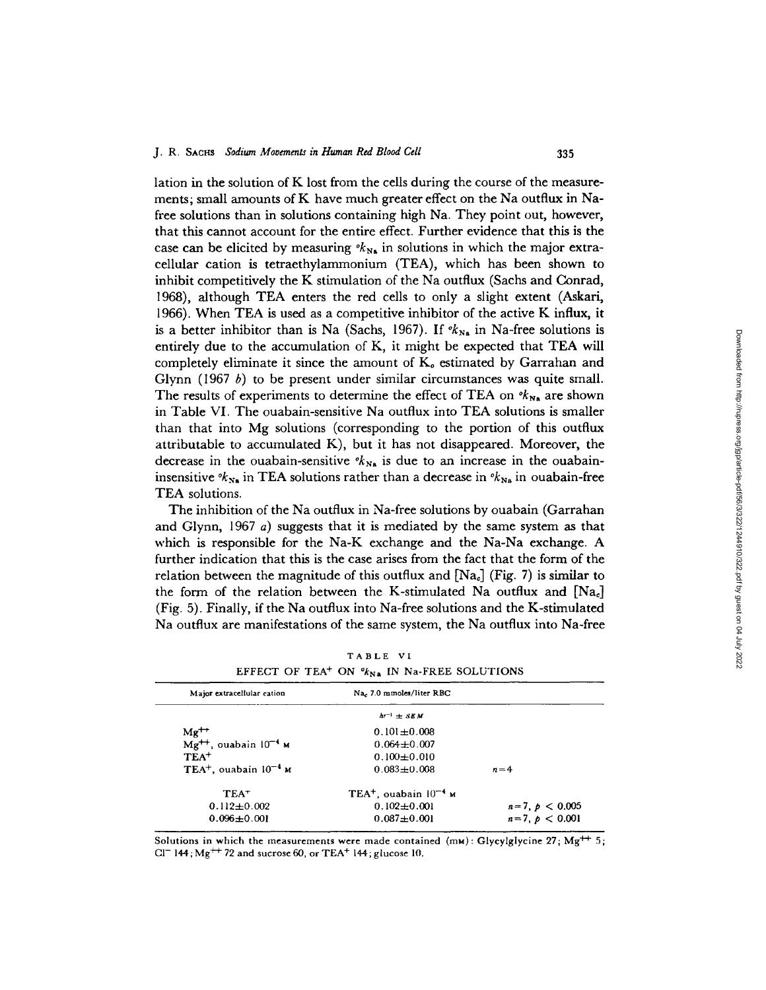lation in the solution of K lost from the cells during the course of the measurements; small amounts of K have much greater effect on the Na outflux in Nafree solutions than in solutions containing high Na. They point out, however, that this cannot account for the entire effect. Further evidence that this is the case can be elicited by measuring  $k_{N_A}$  in solutions in which the major extracellular cation is tetraethylammonium (TEA), which has been shown to inhibit competitively the K stimulation of the Na outflux (Sachs and Conrad, 1968), although TEA enters the red cells to only a slight extent (Askari, 1966). When TEA is used as a competitive inhibitor of the active K influx, it is a better inhibitor than is Na (Sachs, 1967). If  $k_{N_A}$  in Na-free solutions is entirely due to the accumulation of K, it might be expected that TEA will completely eliminate it since the amount of  $K<sub>e</sub>$  estimated by Garrahan and Glynn (1967 *b)* to be present under similar circumstances was quite small. The results of experiments to determine the effect of TEA on  $\ell_{N_A}$  are shown in Table VI. The ouabain-sensitive Na outflux into TEA solutions is smaller than that into Mg solutions (corresponding to the portion of this outflux attributable to accumulated K), but it has not disappeared. Moreover, the decrease in the ouabain-sensitive  $k_{N_a}$  is due to an increase in the ouabaininsensitive  $\kappa_{N_a}$  in TEA solutions rather than a decrease in  $\kappa_{N_a}$  in ouabain-free TEA solutions.

The inhibition of the Na outflux in Na-free solutions by ouabain (Garrahan and Glynn, 1967 a) suggests that it is mediated by the same system as that which is responsible for the Na-K exchange and the Na-Na exchange. A further indication that this is the case arises from the fact that the form of the relation between the magnitude of this outflux and  $[Na_c]$  (Fig. 7) is similar to the form of the relation between the K-stimulated Na outflux and  $[Na_c]$ (Fig. 5). Finally, if the Na outflux into Na-free solutions and the K-stimulated Na outflux are manifestations of the same system, the Na outflux into Na-free

| Major extracellular cation             | Na. 7.0 mmoles/liter RBC            |                  |
|----------------------------------------|-------------------------------------|------------------|
|                                        | $hr^{-1}$ + SEM                     |                  |
| $Mg^{++}$                              | $0.101 + 0.008$                     |                  |
| $Mg^{++}$ , ouabain $10^{-4}$ M        | $0.064 \pm 0.007$                   |                  |
| $TEA+$                                 | $0.100 \pm 0.010$                   |                  |
| TEA <sup>+</sup> , ouabain $10^{-4}$ M | $0.083 + 0.008$                     | $n=4$            |
| $TEA+$                                 | $TEA+$ , ouabain 10 <sup>-4</sup> м |                  |
| $0.112 \pm 0.002$                      | $0.102 \pm 0.001$                   | $n=7, p < 0.005$ |
| $0.096 + 0.001$                        | $0.087 + 0.001$                     | $n=7, p < 0.001$ |

TABLE VI EFFECT OF TEA<sup>+</sup> ON  $\mathcal{C}_{N,a}$  in Na-FREE SOLUTIONS

Solutions in which the measurements were made contained  $(mw)$ : Glycylglycine 27; Mg<sup>++</sup> 5 Cl<sup>-</sup> 144; Mg<sup>++</sup> 72 and sucrose 60, or  $\text{TEA}^+$  144; glucose 10.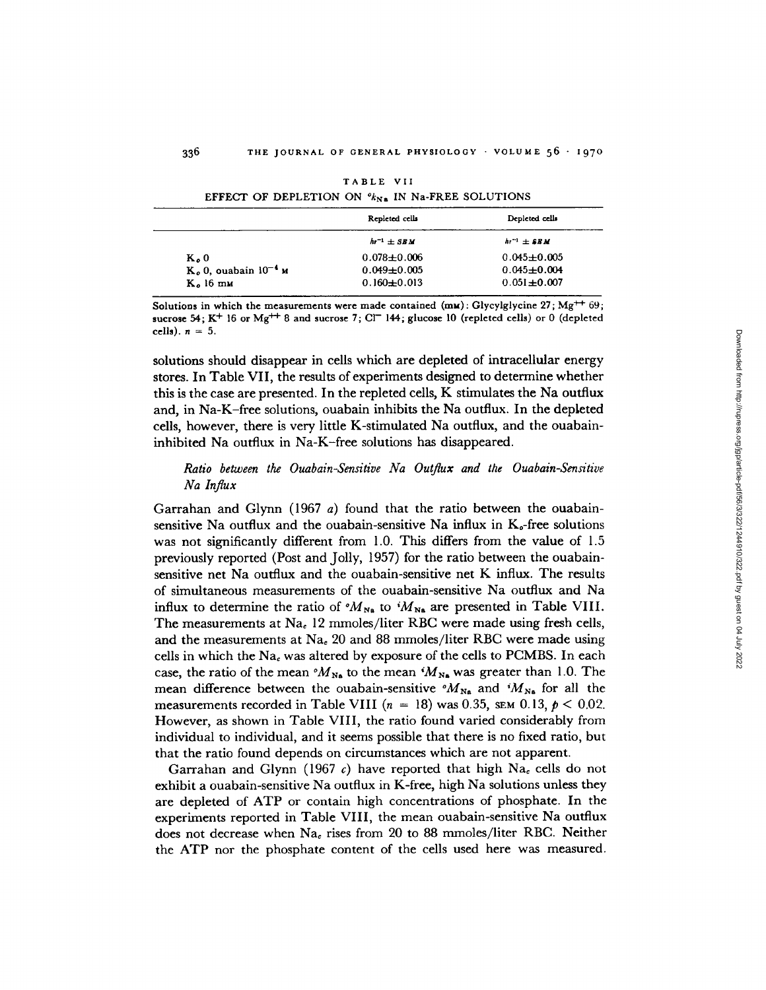|                                    | Repleted cells      | Depleted cells      |
|------------------------------------|---------------------|---------------------|
|                                    | $hr^{-1}$ $\pm$ SEM | $hr^{-1}$ $\pm$ SBM |
| $Ko$ 0                             | $0.078 + 0.006$     | $0.045 \pm 0.005$   |
| $Ko$ 0, ouabain 10 <sup>-4</sup> и | $0.049 \pm 0.005$   | $0.045 + 0.004$     |
| $Ko$ 16 mm                         | $0.160 \pm 0.013$   | $0.051 \pm 0.007$   |

TABLE VII EFFECT OF DEPLETION ON  $\mathcal{U}_{N\ a}$  IN Na-FREE SOLUTIONS

**Solutions in which the measurements were made contained (mu): Glycylglycine 27; Mg + <sup>+</sup> 69; sucrose 54; K<sup>+</sup> 16 or Mg<sup>++</sup> 8 and sucrose 7; CI<sup>-</sup> 144; glucose 10 (repleted cells) or 0 (depleted cells).** *n* = **5.**

solutions should disappear in cells which are depleted of intracellular energy stores. In Table VII, the results of experiments designed to determine whether this is the case are presented. In the repleted cells, K stimulates the Na outflux and, in Na-K-free solutions, ouabain inhibits the Na outflux. In the depleted cells, however, there is very little K-stimulated Na outflux, and the ouabaininhibited Na outflux in Na-K-free solutions has disappeared.

## *Ratio between the Ouabain-Sensitive Na Outflux and the Ouabain-Sensitive Na Influx*

Garrahan and Glynn (1967 *a)* found that the ratio between the ouabainsensitive Na outflux and the ouabain-sensitive Na influx in  $K_{\sigma}$ -free solutions was not significantly different from 1.0. This differs from the value of 1.5 previously reported (Post and Jolly, 1957) for the ratio between the ouabainsensitive net Na outflux and the ouabain-sensitive net K influx. The results of simultaneous measurements of the ouabain-sensitive Na outflux and Na influx to determine the ratio of  $^oM_{N_a}$  to  $^iM_{N_a}$  are presented in Table VIII. The measurements at  $Na<sub>e</sub>$  12 mmoles/liter RBC were made using fresh cells, and the measurements at  $Na<sub>e</sub>$  20 and 88 mmoles/liter RBC were made using cells in which the  $Na<sub>c</sub>$  was altered by exposure of the cells to PCMBS. In each case, the ratio of the mean  $^{\circ}M_{N_{\rm B}}$  to the mean  $^{\circ}M_{N_{\rm B}}$  was greater than 1.0. The mean difference between the ouabain-sensitive  $^{\circ}M_{N_{\rm R}}$  and  $^{\circ}M_{N_{\rm R}}$  for all the measurements recorded in Table VIII  $(n = 18)$  was 0.35, SEM 0.13,  $p < 0.02$ . However, as shown in Table VIII, the ratio found varied considerably from individual to individual, and it seems possible that there is no fixed ratio, but that the ratio found depends on circumstances which are not apparent.

Garrahan and Glynn (1967 *c)* have reported that high Na, cells do not exhibit a ouabain-sensitive Na outflux in K-free, high Na solutions unless they are depleted of ATP or contain high concentrations of phosphate. In the experiments reported in Table VIII, the mean ouabain-sensitive Na outflux does not decrease when  $Na<sub>e</sub>$  rises from 20 to 88 mmoles/liter RBC. Neither the ATP nor the phosphate content of the cells used here was measured.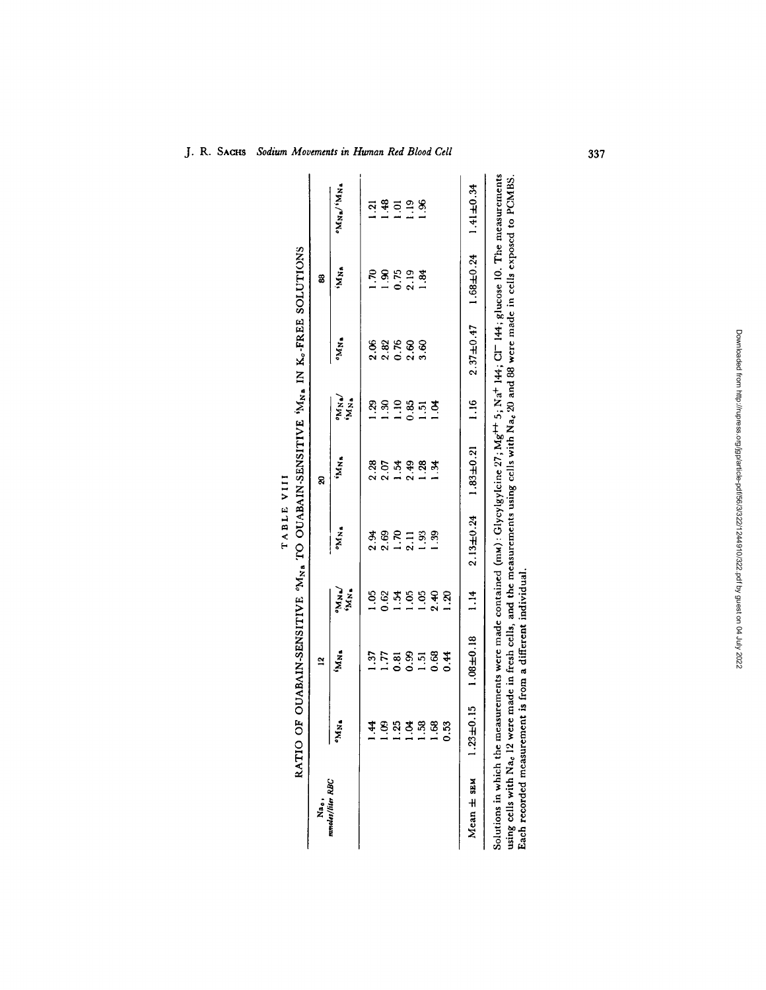| ž.                                                                                                                                                                                                                                                                            |                     | $\tilde{a}$                                                                                                                    |                     |                 | g                |                   |               | 3               |                 |
|-------------------------------------------------------------------------------------------------------------------------------------------------------------------------------------------------------------------------------------------------------------------------------|---------------------|--------------------------------------------------------------------------------------------------------------------------------|---------------------|-----------------|------------------|-------------------|---------------|-----------------|-----------------|
| mmoles/liter RBC                                                                                                                                                                                                                                                              | ·MN.                | M <sub>N</sub>                                                                                                                 | <b>PRAK</b><br>PRAK | °M <sub>N</sub> | 'M <sub>Na</sub> | <b>ANA</b>        | ·MM•          | <b>NN</b>       | "NN"\"NN"       |
|                                                                                                                                                                                                                                                                               | 4                   | 1.37                                                                                                                           | S.                  | 2.94            | 2.28             | Ŗ                 | 2.06          | $\mathfrak{a}'$ | ្ម              |
|                                                                                                                                                                                                                                                                               | S.                  | 1.77                                                                                                                           | 0.62                | 2.69            | 2.07             | s.                | 2.82          | $\frac{8}{1}$   | 48              |
|                                                                                                                                                                                                                                                                               | 35                  | $\overline{0}$ .81                                                                                                             | المية.<br>أ         | $\overline{5}$  | <u>ें</u>        | $\frac{10}{10}$   | 0.76          | 0.75            | ៊               |
|                                                                                                                                                                                                                                                                               | \$                  | 0.99                                                                                                                           | $\ddot{\circ}$      | 2.11            | 2.49             | 0.85              | 2.60          | 2.19            | $\ddot{5}$      |
|                                                                                                                                                                                                                                                                               | Ŗ.                  | $\frac{51}{2}$                                                                                                                 | ξ.                  | $\ddot{3}$      | $\frac{28}{2}$   | $\ddot{5}$        | 3.60          | 1.84            | $\frac{8}{3}$   |
|                                                                                                                                                                                                                                                                               | œ.                  | 0.68                                                                                                                           | 2.40                | 39              | ¥.               | £                 |               |                 |                 |
|                                                                                                                                                                                                                                                                               | S.                  |                                                                                                                                | <u>ର୍</u>           |                 |                  |                   |               |                 |                 |
| Mean ± SEM                                                                                                                                                                                                                                                                    | ±0.15<br><u>នាំ</u> | $1.08 + 0.18$                                                                                                                  | 1.14                | $2.13 \pm 0.24$ | $1.83 \pm 0.21$  | $\frac{1}{1}$ .16 | $2.37 + 0.47$ | $1.68 \pm 0.24$ | $1.41 \pm 0.34$ |
| Solutions in which the measurements were made contained (mM): Glycylgylcine 27; Mg <sup>++</sup> 5; Na <sup>+</sup> 144; Cl <sup>-</sup> 144; glucose 10. The measurements<br>Each recorded measurement is from a different individual<br>using cells with Na <sub>c</sub> 12 |                     | were made in fresh cells, and the measurements using cells with Na <sub>c</sub> 20 and 88 were made in cells exposed to PCMBS. |                     |                 |                  |                   |               |                 |                 |

TABLE VIII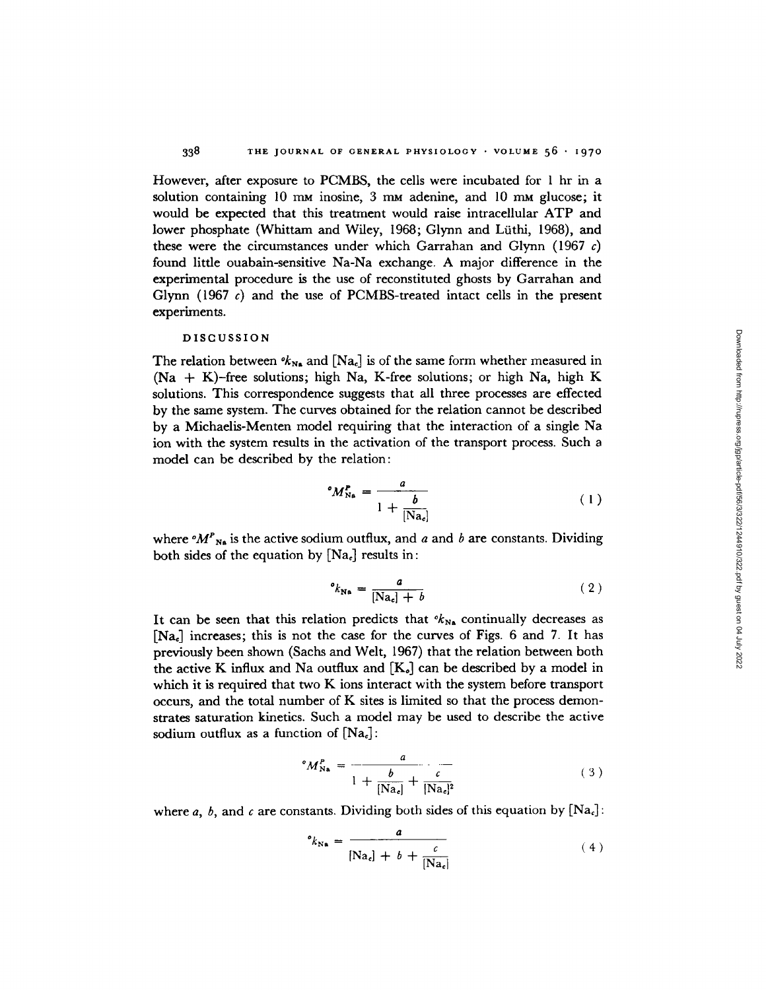However, after exposure to PCMBS, the cells were incubated for I hr in a solution containing 10 mm inosine, 3 mm adenine, and 10 mm glucose; it would be expected that this treatment would raise intracellular ATP and lower phosphate (Whittam and Wiley, 1968; Glynn and Liithi, 1968), and these were the circumstances under which Garrahan and Glynn (1967 c) found little ouabain-sensitive Na-Na exchange. A major difference in the experimental procedure is the use of reconstituted ghosts by Garrahan and Glynn (1967 *c)* and the use of PCMBS-treated intact cells in the present experiments.

#### DISCUSSION

The relation between  $\mathscr{K}_{N_{\bullet}}$  and  $[Na_{c}]$  is of the same form whether measured in (Na + K)-free solutions; high Na, K-free solutions; or high Na, high K solutions. This correspondence suggests that all three processes are effected by the same system. The curves obtained for the relation cannot be described by a Michaelis-Menten model requiring that the interaction of a single Na ion with the system results in the activation of the transport process. Such a model can be described by the relation:

$$
{}^{\circ}M_{\text{Na}}^{\text{P}} = \frac{a}{1 + \frac{b}{[\text{Na}_c]}}\tag{1}
$$

where  ${}^{\circ}M^P{}_{N\alpha}$  is the active sodium outflux, and *a* and *b* are constants. Dividing both sides of the equation by  $[Na_c]$  results in:

$$
^{o}k_{\text{Ne}} = \frac{a}{[\text{Na}_c] + b} \tag{2}
$$

It can be seen that this relation predicts that  $k_{N_A}$  continually decreases as  $[Na_e]$  increases; this is not the case for the curves of Figs. 6 and 7. It has previously been shown (Sachs and Welt, 1967) that the relation between both the active K influx and Na outflux and  $[K_{\circ}]$  can be described by a model in which it is required that two K ions interact with the system before transport occurs, and the total number of K sites is limited so that the process demonstrates saturation kinetics. Such a model may be used to describe the active sodium outflux as a function of  $[Na<sub>c</sub>]$ :

$$
{}^{\circ}M_{\text{Na}}^{\text{P}} = \frac{a}{1 + \frac{b}{[\text{Na}_c]} + \frac{c}{[\text{Na}_c]^2}}
$$
(3)

where *a*, *b*, and *c* are constants. Dividing both sides of this equation by  $[Na_c]$ :

$$
^{\circ}k_{\text{Na}} = \frac{a}{[\text{Na}_c] + b + \frac{c}{[\text{Na}_c]}}
$$
(4)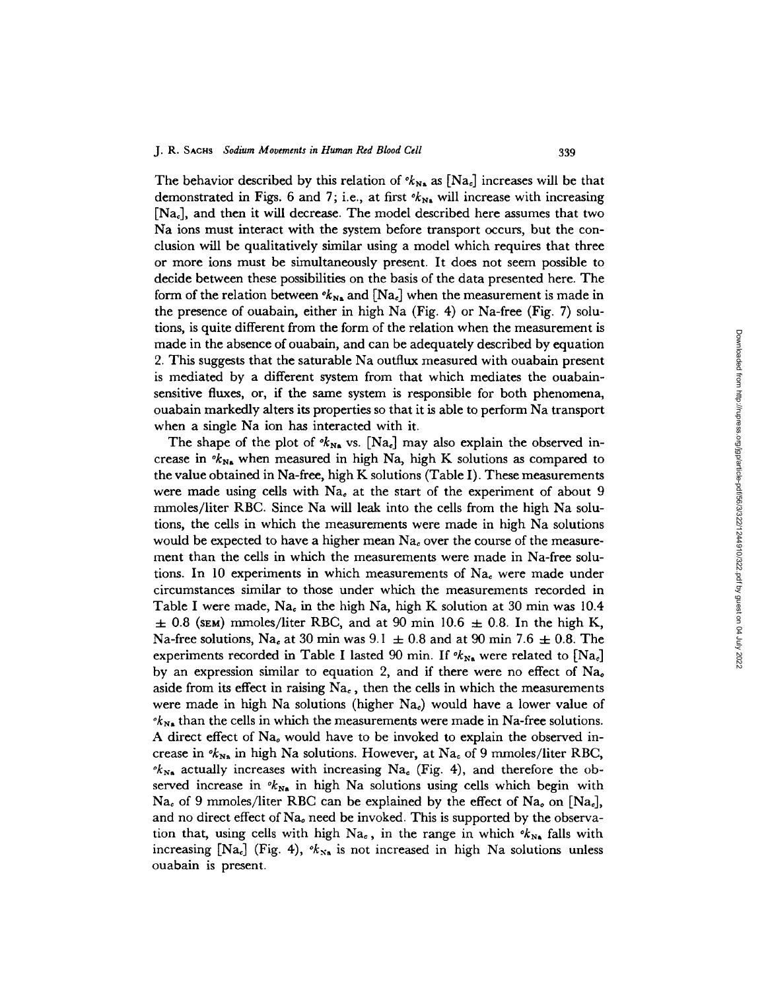The behavior described by this relation of  $\mathcal{R}_{N_{\rm A}}$  as  $[N_{\rm A}]$  increases will be that demonstrated in Figs. 6 and 7; i.e., at first  $\mathcal{K}_{N_A}$  will increase with increasing [Na<sub>c</sub>], and then it will decrease. The model described here assumes that two Na ions must interact with the system before transport occurs, but the conclusion will be qualitatively similar using a model which requires that three or more ions must be simultaneously present. It does not seem possible to decide between these possibilities on the basis of the data presented here. The form of the relation between  $\mathbf{R}_{N_a}$  and  $[Na_c]$  when the measurement is made in the presence of ouabain, either in high Na (Fig. 4) or Na-free (Fig. 7) solutions, is quite different from the form of the relation when the measurement is made in the absence of ouabain, and can be adequately described by equation 2. This suggests that the saturable Na outflux measured with ouabain present is mediated by a different system from that which mediates the ouabainsensitive fluxes, or, if the same system is responsible for both phenomena, ouabain markedly alters its properties so that it is able to perform Na transport when a single Na ion has interacted with it.

The shape of the plot of  $\mathcal{K}_{\text{Na}}$  vs. [Na<sub>c</sub>] may also explain the observed increase in  $\mathscr{K}_{N_{\mathbf{a}}}$  when measured in high Na, high K solutions as compared to the value obtained in Na-free, high K solutions (Table I). These measurements were made using cells with  $Na<sub>e</sub>$  at the start of the experiment of about  $9$ mmoles/liter RBC. Since Na will leak into the cells from the high Na solutions, the cells in which the measurements were made in high Na solutions would be expected to have a higher mean  $Na<sub>c</sub>$  over the course of the measurement than the cells in which the measurements were made in Na-free solutions. In 10 experiments in which measurements of  $Na<sub>c</sub>$  were made under circumstances similar to those under which the measurements recorded in Table I were made, Na<sub>c</sub> in the high Na, high K solution at 30 min was 10.4  $\pm$  0.8 (SEM) mmoles/liter RBC, and at 90 min 10.6  $\pm$  0.8. In the high K, Na-free solutions, Na, at 30 min was  $9.1 \pm 0.8$  and at 90 min 7.6  $\pm$  0.8. The experiments recorded in Table I lasted 90 min. If  $\mathscr{R}_{N_{\rm s}}$  were related to  $[N_{\rm a}]$ by an expression similar to equation 2, and if there were no effect of  $Na<sub>o</sub>$ aside from its effect in raising  $Na<sub>e</sub>$ , then the cells in which the measurements were made in high Na solutions (higher  $Na<sub>c</sub>$ ) would have a lower value of  $\mathcal{O}_{N_{\rm N}}$  than the cells in which the measurements were made in Na-free solutions. A direct effect of Na<sub>o</sub> would have to be invoked to explain the observed increase in  $\mathscr{R}_{\mathbf{Na}}$  in high Na solutions. However, at Na<sub>c</sub> of 9 mmoles/liter RBC,  $\partial k_{N_a}$  actually increases with increasing Na<sub>c</sub> (Fig. 4), and therefore the observed increase in  $k_{\text{Na}}$  in high Na solutions using cells which begin with  $Na<sub>c</sub>$  of 9 mmoles/liter RBC can be explained by the effect of Na<sub>o</sub> on [Na<sub>c</sub>], and no direct effect of  $Na<sub>e</sub>$  need be invoked. This is supported by the observation that, using cells with high  $Na<sub>e</sub>$ , in the range in which  $\alpha_{Na}$  falls with increasing  $[Na_c]$  (Fig. 4),  $\mathcal{K}_{Na}$  is not increased in high Na solutions unless ouabain is present.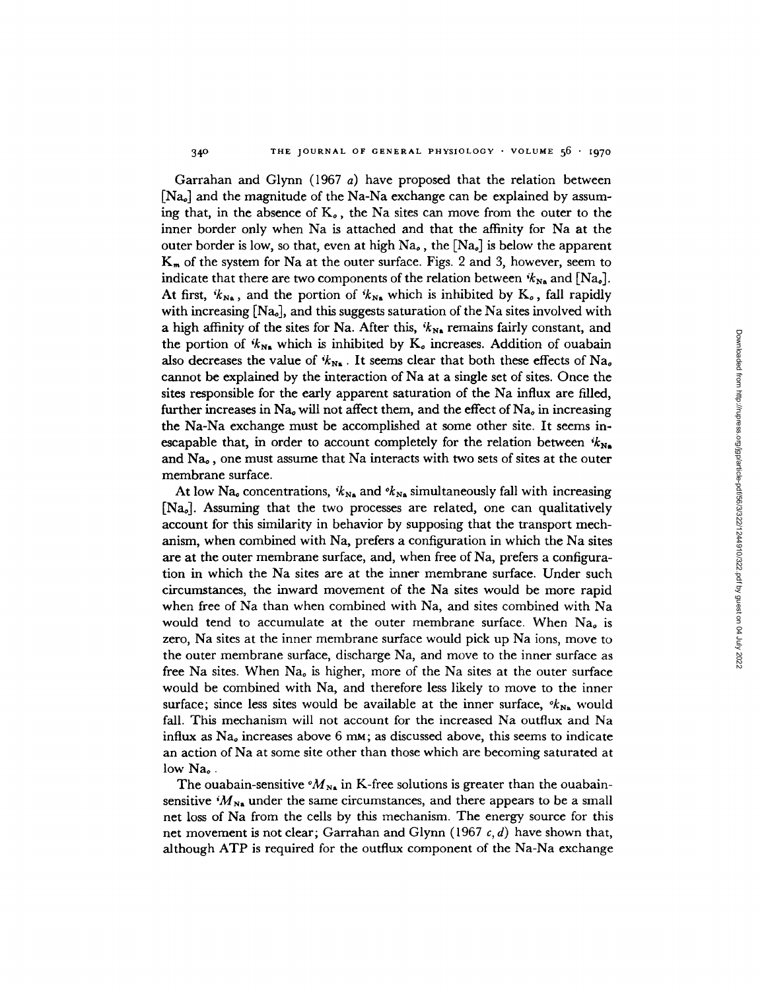Garrahan and Glynn (1967 a) have proposed that the relation between  $[Na<sub>o</sub>]$  and the magnitude of the Na-Na exchange can be explained by assuming that, in the absence of  $K_o$ , the Na sites can move from the outer to the inner border only when Na is attached and that the affinity for Na at the outer border is low, so that, even at high  $Na<sub>o</sub>$ , the  $[Na<sub>o</sub>]$  is below the apparent  $K<sub>m</sub>$  of the system for Na at the outer surface. Figs. 2 and 3, however, seem to indicate that there are two components of the relation between  $k_{N_A}$  and  $[Na_o]$ . At first,  $i k_{N_{\rm A}}$ , and the portion of  $i k_{N_{\rm A}}$  which is inhibited by K<sub>o</sub>, fall rapidly with increasing  $[Na_{o}]$ , and this suggests saturation of the Na sites involved with a high affinity of the sites for Na. After this,  $k_{N_a}$  remains fairly constant, and the portion of  $k_{N_a}$  which is inhibited by K<sub>o</sub> increases. Addition of ouabain also decreases the value of  $k_{N_A}$ . It seems clear that both these effects of Na<sub>o</sub> cannot be explained by the interaction of Na at a single set of sites. Once the sites responsible for the early apparent saturation of the Na influx are filled, further increases in  $Na<sub>o</sub>$  will not affect them, and the effect of  $Na<sub>o</sub>$  in increasing the Na-Na exchange must be accomplished at some other site. It seems inescapable that, in order to account completely for the relation between  $k_{\text{Na}}$ and  $Na<sub>o</sub>$ , one must assume that Na interacts with two sets of sites at the outer membrane surface.

340

At low Na<sub>o</sub> concentrations,  $k_{N_A}$  and  $k_{N_A}$  simultaneously fall with increasing [Nao]. Assuming that the two processes are related, one can qualitatively account for this similarity in behavior by supposing that the transport mechanism, when combined with Na, prefers a configuration in which the Na sites are at the outer membrane surface, and, when free of Na, prefers a configuration in which the Na sites are at the inner membrane surface. Under such circumstances, the inward movement of the Na sites would be more rapid when free of Na than when combined with Na, and sites combined with Na would tend to accumulate at the outer membrane surface. When  $Na<sub>a</sub>$  is zero, Na sites at the inner membrane surface would pick up Na ions, move to the outer membrane surface, discharge Na, and move to the inner surface as free Na sites. When  $Na<sub>a</sub>$  is higher, more of the Na sites at the outer surface would be combined with Na, and therefore less likely to move to the inner surface; since less sites would be available at the inner surface,  $\mathscr{K}_{N_A}$  would fall. This mechanism will not account for the increased Na outflux and Na influx as  $Na<sub>o</sub>$  increases above 6 mm; as discussed above, this seems to indicate an action of Na at some site other than those which are becoming saturated at low Na.

The ouabain-sensitive  $^{\circ}M_{N_{\rm A}}$  in K-free solutions is greater than the ouabainsensitive  $^{i}M_{N_{\rm A}}$  under the same circumstances, and there appears to be a small net loss of Na from the cells by this mechanism. The energy source for this net movement is not clear; Garrahan and Glynn (1967 *c, d)* have shown that, although ATP is required for the outflux component of the Na-Na exchange